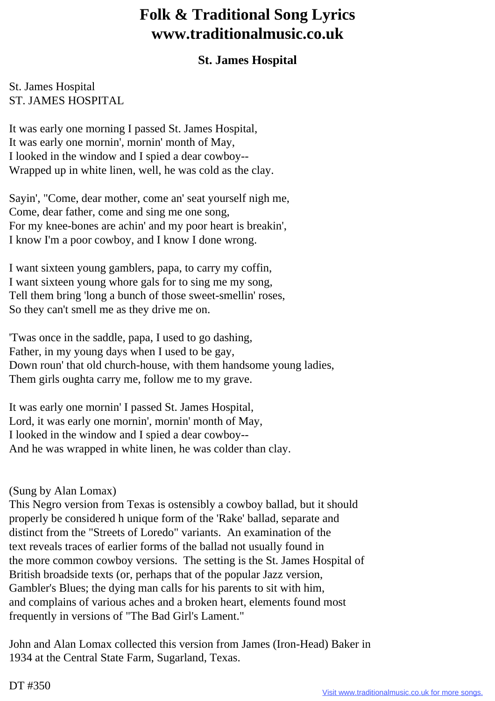## **Folk & Traditional Song Lyrics www.traditionalmusic.co.uk**

## **St. James Hospital**

## St. James Hospital ST. JAMES HOSPITAL

It was early one morning I passed St. James Hospital, It was early one mornin', mornin' month of May, I looked in the window and I spied a dear cowboy-- Wrapped up in white linen, well, he was cold as the clay.

Sayin', "Come, dear mother, come an' seat yourself nigh me, Come, dear father, come and sing me one song, For my knee-bones are achin' and my poor heart is breakin', I know I'm a poor cowboy, and I know I done wrong.

I want sixteen young gamblers, papa, to carry my coffin, I want sixteen young whore gals for to sing me my song, Tell them bring 'long a bunch of those sweet-smellin' roses, So they can't smell me as they drive me on.

'Twas once in the saddle, papa, I used to go dashing, Father, in my young days when I used to be gay, Down roun' that old church-house, with them handsome young ladies, Them girls oughta carry me, follow me to my grave.

It was early one mornin' I passed St. James Hospital, Lord, it was early one mornin', mornin' month of May, I looked in the window and I spied a dear cowboy-- And he was wrapped in white linen, he was colder than clay.

## (Sung by Alan Lomax)

This Negro version from Texas is ostensibly a cowboy ballad, but it should properly be considered h unique form of the 'Rake' ballad, separate and distinct from the "Streets of Loredo" variants. An examination of the text reveals traces of earlier forms of the ballad not usually found in the more common cowboy versions. The setting is the St. James Hospital of British broadside texts (or, perhaps that of the popular Jazz version, Gambler's Blues; the dying man calls for his parents to sit with him, and complains of various aches and a broken heart, elements found most frequently in versions of "The Bad Girl's Lament."

John and Alan Lomax collected this version from James (Iron-Head) Baker in 1934 at the Central State Farm, Sugarland, Texas.